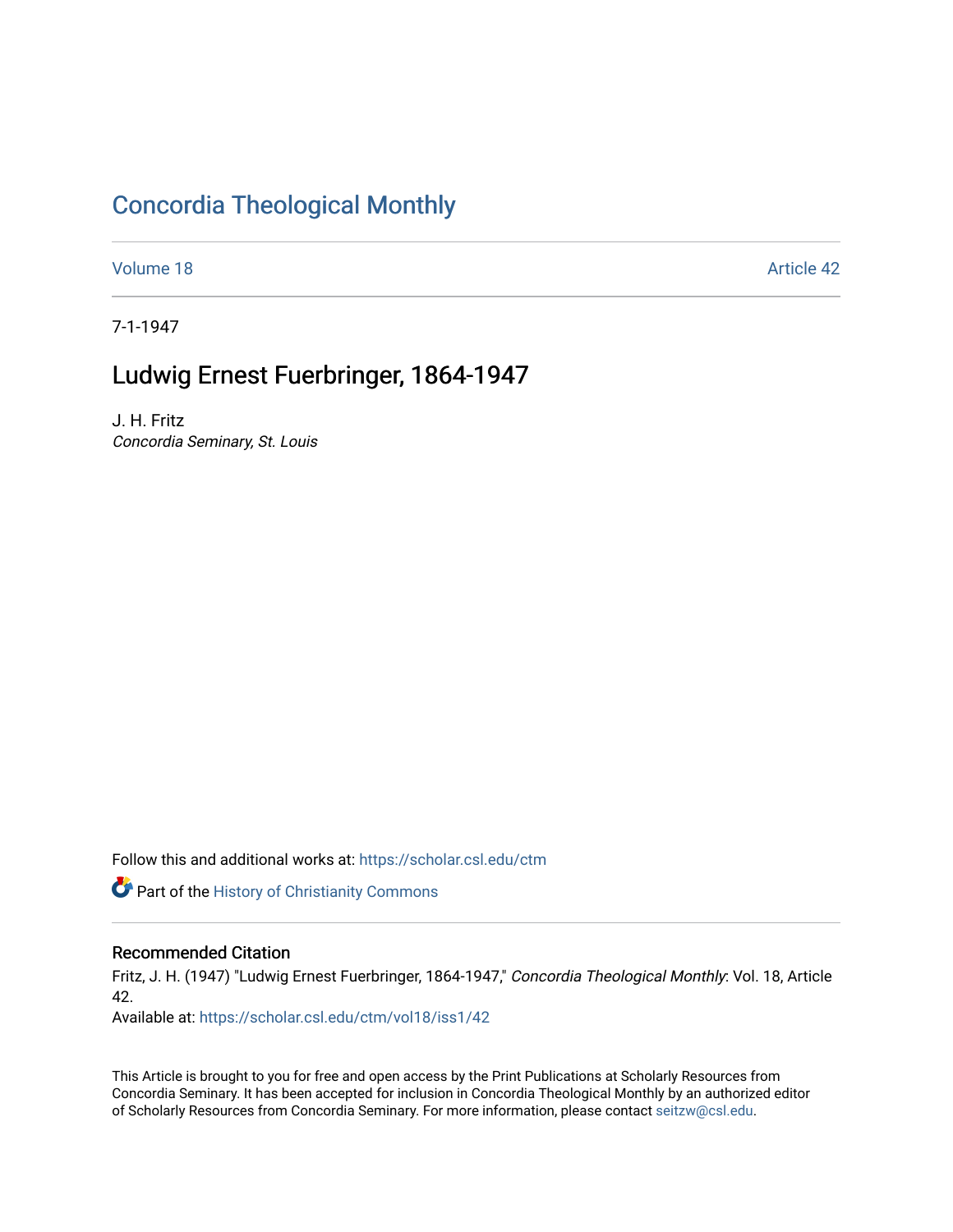### [Concordia Theological Monthly](https://scholar.csl.edu/ctm)

[Volume 18](https://scholar.csl.edu/ctm/vol18) Article 42

7-1-1947

## Ludwig Ernest Fuerbringer, 1864-1947

J. H. Fritz Concordia Seminary, St. Louis

Follow this and additional works at: [https://scholar.csl.edu/ctm](https://scholar.csl.edu/ctm?utm_source=scholar.csl.edu%2Fctm%2Fvol18%2Fiss1%2F42&utm_medium=PDF&utm_campaign=PDFCoverPages)

Part of the [History of Christianity Commons](http://network.bepress.com/hgg/discipline/1182?utm_source=scholar.csl.edu%2Fctm%2Fvol18%2Fiss1%2F42&utm_medium=PDF&utm_campaign=PDFCoverPages) 

### Recommended Citation

Fritz, J. H. (1947) "Ludwig Ernest Fuerbringer, 1864-1947," Concordia Theological Monthly: Vol. 18, Article 42.

Available at: [https://scholar.csl.edu/ctm/vol18/iss1/42](https://scholar.csl.edu/ctm/vol18/iss1/42?utm_source=scholar.csl.edu%2Fctm%2Fvol18%2Fiss1%2F42&utm_medium=PDF&utm_campaign=PDFCoverPages) 

This Article is brought to you for free and open access by the Print Publications at Scholarly Resources from Concordia Seminary. It has been accepted for inclusion in Concordia Theological Monthly by an authorized editor of Scholarly Resources from Concordia Seminary. For more information, please contact [seitzw@csl.edu](mailto:seitzw@csl.edu).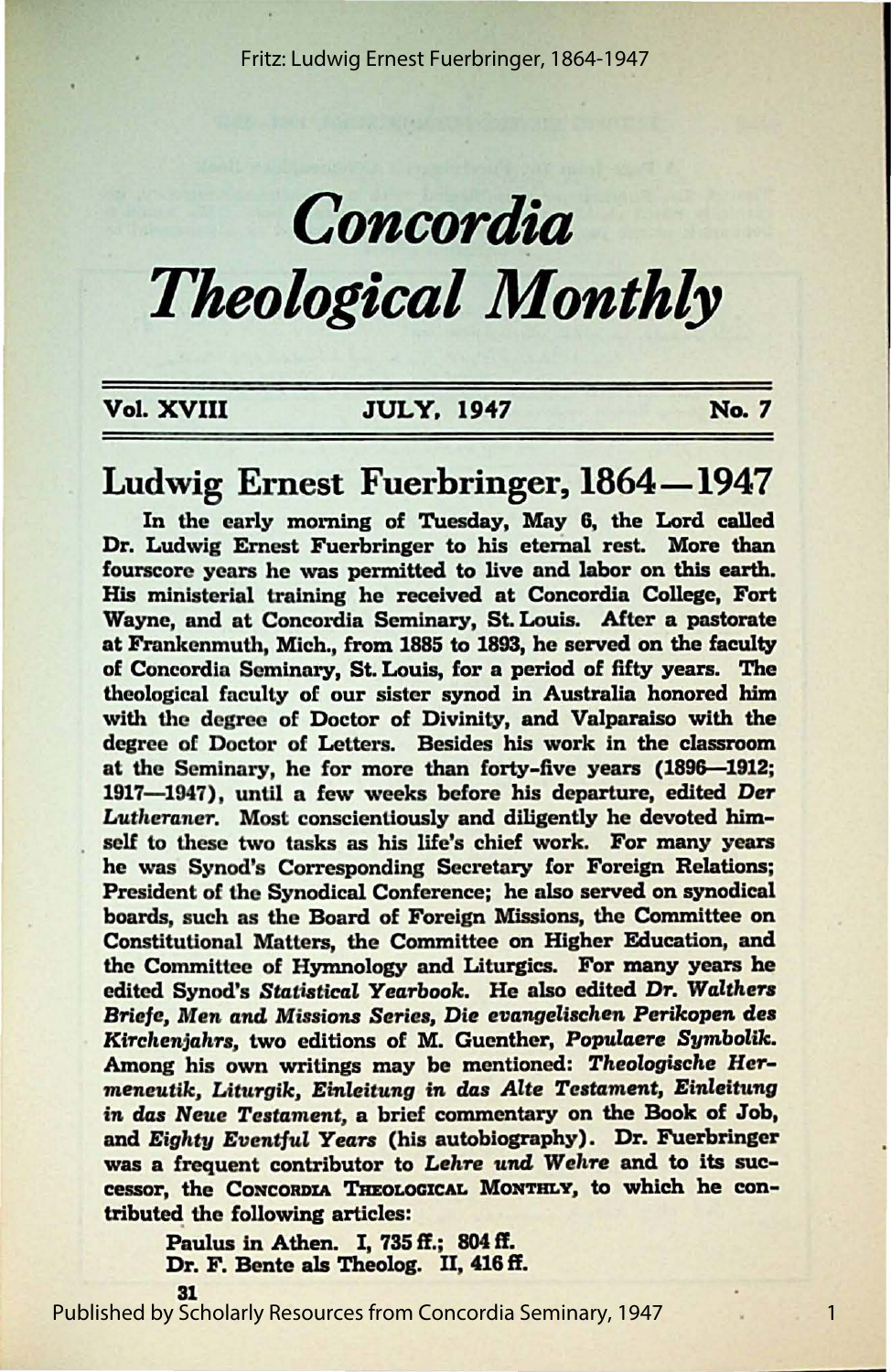Fritz: Ludwig Ernest Fuerbringer, 1864-1947

# *Concordia, Theological Monthly*

### Vol. **XVIII** JULY, 1947 No. 7

1

### Ludwig Ernest Fuerbringer, 1864–1947

In the early morning of Tuesday, May 6, the Lord called Dr. Ludwig Ernest Fuerbringer to his eternal rest. More than fourscore years he was permitted to live and labor on this earth. His ministerial training he received at Concordia College, Fort Wayne, and at Concordia Seminary, St. Louis. After a pastorate at Frankenmuth, Mich., from 1885 to 1893, he served on the faculty of Concordia Seminary, St. Louis, for a period of fifty years. The theological faculty of our sister synod in Australia honored him with the degree of Doctor of Divinity, and Valparaiso with the degree of Doctor of Letters. Besides his work in the classroom at the Seminary, he for more than forty-five years (1896-1912; 1917-1947), until a few weeks before his departure, edited Der Lutheraner. Most conscientiously and diligently he devoted himself to these two tasks as his life's chief work. For many years he was Synod's Corresponding Secretary for Foreign Relations; President of the Synodical Conference; he also served on synodical boards, such as the Board of Foreign Missions, the Committee on Constitutional Matters, the Committee on Higher Education, and the Committee of Hymnology and Liturgics. For many years he edited Synod's *Statistical Yearbook*. He also edited *Dr. Walthers* Briefe, Men and Missions Series, Die evangelischen Perikopen des Kirchenjahrs, two editions of M. Guenther, *Populaere Symbolik.* Among his own writings may be mentioned: *Theologiache* HeT' meneutik, Liturgik, Einleitung in das Alte Testament, Einleitung in das Neue Testament, a brief commentary on the Book of Job, and *Eighty Eventful Years* (his autobiography). Dr. Fuerbringer was a frequent contributor to *Lehre und Wehre* and to its successor, the CONCORDIA TmoLOCICAL MoNTRLY, to which he contributed the following articles:

Paulus in Athen. I, 735 ff.; 804 ff. Dr. F. Bente als Theolog. II, 416 ff.

31

Published by Scholarly Resources from Concordia Seminary, 1947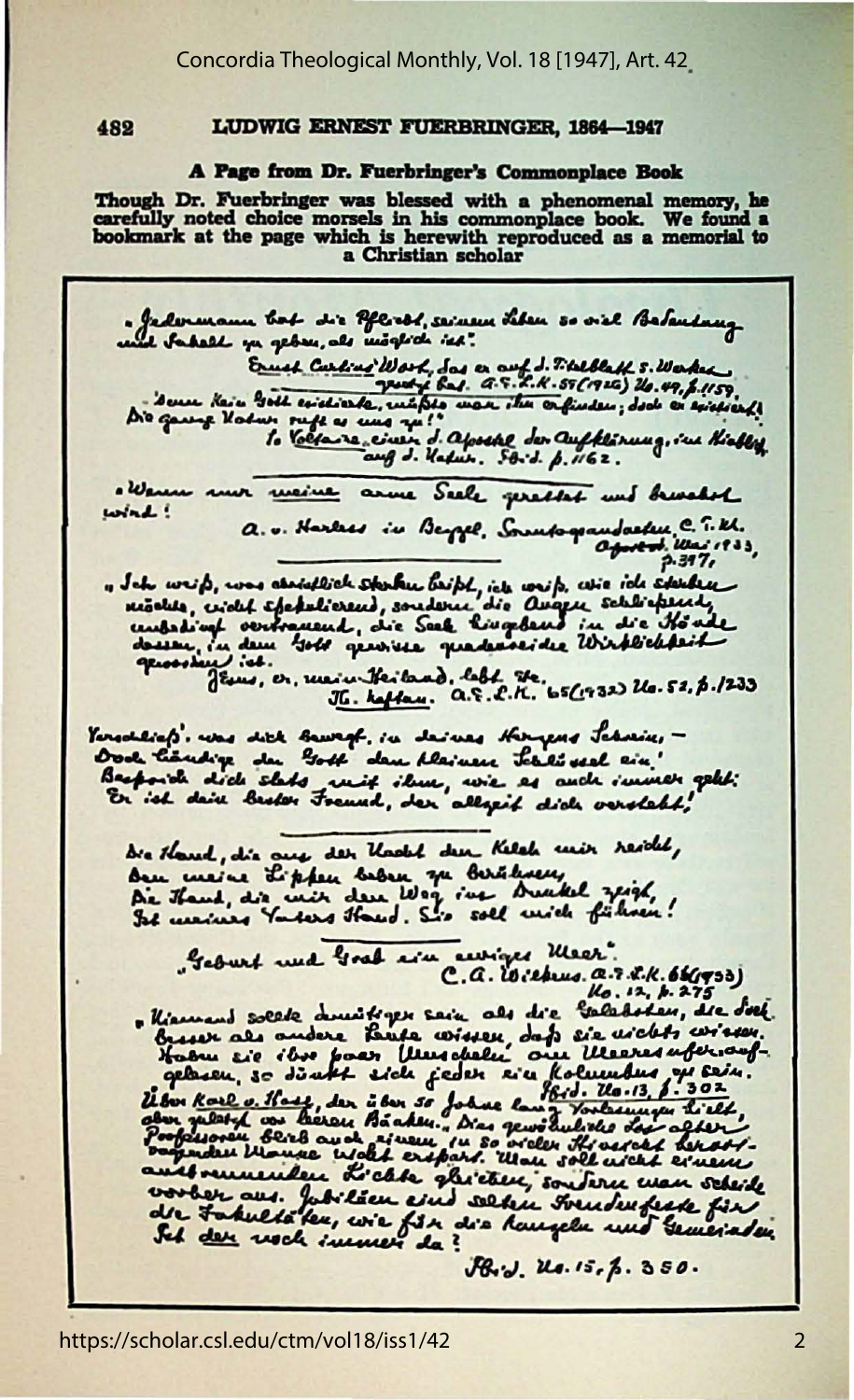### Concordia Theological Monthly, Vol. 18 [1947], Art. 42

#### 482 **LUDWIG ERNEST FUERBRINGER, 1864-1947**

#### A Page from Dr. Fuerbringer's Commonplace Book

Though Dr. Fuerbringer was blessed with a phenomenal memory, he carefully noted choice morsels in his commonplace book. We found a bookmark at the page which is herewith reproduced as a memorial to a Christian scholar

a Jadermann bat die Bflied, seinem Leben so oiel Babendaug.<br>wat bakelt yn geben, als möglich ist: Enech Carling Work, das er auf J. Titalblack 5. Werker Die gaung Noten ruft as was no! appeted der aufklänung, im Kiellig. . Wenne mer meine anne Seele gerettet und bewehrt wird ! a. v. Harless in Bergel, Sounds grandacture, C. T. W. aport d. Was 1933  $2.317.$ " John weiß, was absiedlich stocker beibt, ich weiß, wie ich studen Yoursdelich's was dick beweaf, in derives therefore Schoene, -Dock Gändig der Gott den kleinen Jerlissel ein geht. Er ist dain bester Freund, der alleget dich versleht. die Hand, die aus der Vaakt den Kelch mir reicht, Den meine Lippen beden zu berühmen,<br>Die Hand, die mit dere Weg ins Dunkel zeigt, Geburt und Grat sin entiger Meer. C. a. Wilkus. a. 7. K.K. 66(1933) hismani solle donitions sain als die salabeten, die das Theone is ihre pour line das die salabeten, die das Theone Konte der eine folgende mit den plante der eine folgen der der sich der plante der der Theone der The Barry Ko. 12, p. 275  $J_{\alpha}$ .  $u_{a}$ ,  $i_{s}$ ,  $\beta$ ,  $350$ .

https://scholar.csl.edu/ctm/vol18/iss1/42